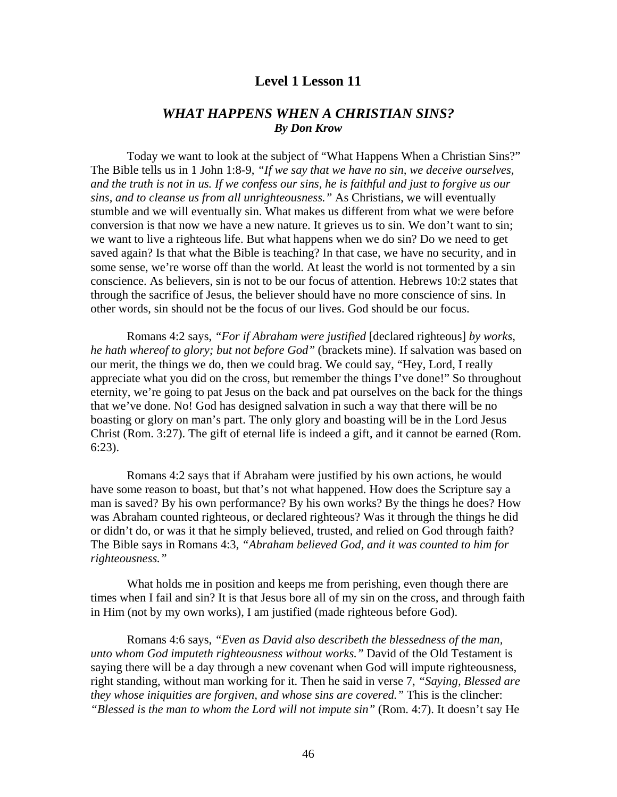### **Level 1 Lesson 11**

# *WHAT HAPPENS WHEN A CHRISTIAN SINS? By Don Krow*

 Today we want to look at the subject of "What Happens When a Christian Sins?" The Bible tells us in 1 John 1:8-9, *"If we say that we have no sin, we deceive ourselves, and the truth is not in us. If we confess our sins, he is faithful and just to forgive us our sins, and to cleanse us from all unrighteousness."* As Christians, we will eventually stumble and we will eventually sin. What makes us different from what we were before conversion is that now we have a new nature. It grieves us to sin. We don't want to sin; we want to live a righteous life. But what happens when we do sin? Do we need to get saved again? Is that what the Bible is teaching? In that case, we have no security, and in some sense, we're worse off than the world. At least the world is not tormented by a sin conscience. As believers, sin is not to be our focus of attention. Hebrews 10:2 states that through the sacrifice of Jesus, the believer should have no more conscience of sins. In other words, sin should not be the focus of our lives. God should be our focus.

 Romans 4:2 says, *"For if Abraham were justified* [declared righteous] *by works, he hath whereof to glory; but not before God"* (brackets mine). If salvation was based on our merit, the things we do, then we could brag. We could say, "Hey, Lord, I really appreciate what you did on the cross, but remember the things I've done!" So throughout eternity, we're going to pat Jesus on the back and pat ourselves on the back for the things that we've done. No! God has designed salvation in such a way that there will be no boasting or glory on man's part. The only glory and boasting will be in the Lord Jesus Christ (Rom. 3:27). The gift of eternal life is indeed a gift, and it cannot be earned (Rom. 6:23).

 Romans 4:2 says that if Abraham were justified by his own actions, he would have some reason to boast, but that's not what happened. How does the Scripture say a man is saved? By his own performance? By his own works? By the things he does? How was Abraham counted righteous, or declared righteous? Was it through the things he did or didn't do, or was it that he simply believed, trusted, and relied on God through faith? The Bible says in Romans 4:3, *"Abraham believed God, and it was counted to him for righteousness."*

 What holds me in position and keeps me from perishing, even though there are times when I fail and sin? It is that Jesus bore all of my sin on the cross, and through faith in Him (not by my own works), I am justified (made righteous before God).

 Romans 4:6 says, *"Even as David also describeth the blessedness of the man, unto whom God imputeth righteousness without works."* David of the Old Testament is saying there will be a day through a new covenant when God will impute righteousness, right standing, without man working for it. Then he said in verse 7, *"Saying, Blessed are they whose iniquities are forgiven, and whose sins are covered."* This is the clincher: *"Blessed is the man to whom the Lord will not impute sin"* (Rom. 4:7). It doesn't say He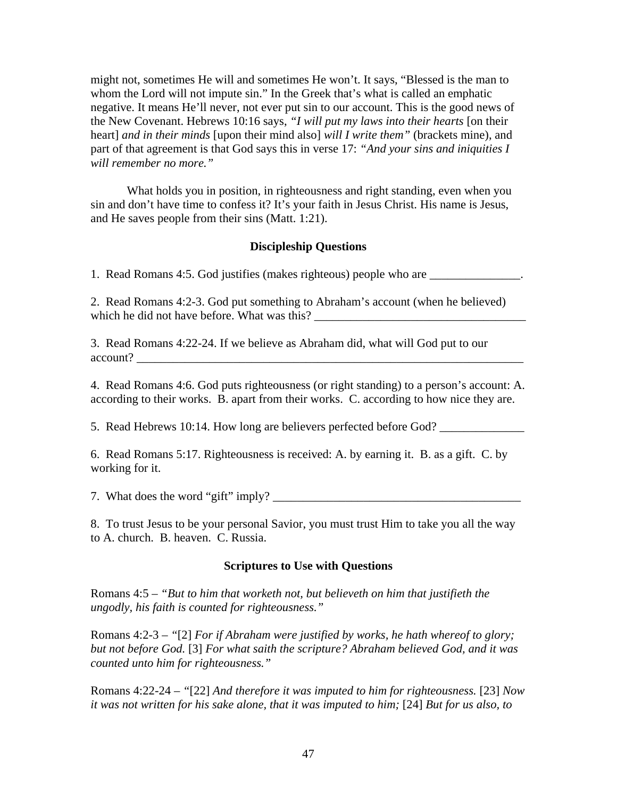might not, sometimes He will and sometimes He won't. It says, "Blessed is the man to whom the Lord will not impute sin." In the Greek that's what is called an emphatic negative. It means He'll never, not ever put sin to our account. This is the good news of the New Covenant. Hebrews 10:16 says, *"I will put my laws into their hearts* [on their heart] *and in their minds* [upon their mind also] *will I write them"* (brackets mine), and part of that agreement is that God says this in verse 17: *"And your sins and iniquities I will remember no more."*

 What holds you in position, in righteousness and right standing, even when you sin and don't have time to confess it? It's your faith in Jesus Christ. His name is Jesus, and He saves people from their sins (Matt. 1:21).

### **Discipleship Questions**

1. Read Romans 4:5. God justifies (makes righteous) people who are  $\blacksquare$ 

2. Read Romans 4:2-3. God put something to Abraham's account (when he believed) which he did not have before. What was this? \_\_\_\_\_\_\_\_\_\_\_\_\_\_\_\_\_\_\_\_\_\_\_\_\_\_\_\_\_\_\_\_\_\_\_

3. Read Romans 4:22-24. If we believe as Abraham did, what will God put to our account?

4. Read Romans 4:6. God puts righteousness (or right standing) to a person's account: A. according to their works. B. apart from their works. C. according to how nice they are.

5. Read Hebrews 10:14. How long are believers perfected before God?

6. Read Romans 5:17. Righteousness is received: A. by earning it. B. as a gift. C. by working for it.

7. What does the word "gift" imply? \_\_\_\_\_\_\_\_\_\_\_\_\_\_\_\_\_\_\_\_\_\_\_\_\_\_\_\_\_\_\_\_\_\_\_\_\_\_\_\_\_

8. To trust Jesus to be your personal Savior, you must trust Him to take you all the way to A. church. B. heaven. C. Russia.

#### **Scriptures to Use with Questions**

Romans 4:5 – *"But to him that worketh not, but believeth on him that justifieth the ungodly, his faith is counted for righteousness."*

Romans 4:2-3 – *"*[2] *For if Abraham were justified by works, he hath whereof to glory; but not before God.* [3] *For what saith the scripture? Abraham believed God, and it was counted unto him for righteousness."*

Romans 4:22-24 – *"*[22] *And therefore it was imputed to him for righteousness.* [23] *Now it was not written for his sake alone, that it was imputed to him;* [24] *But for us also, to*